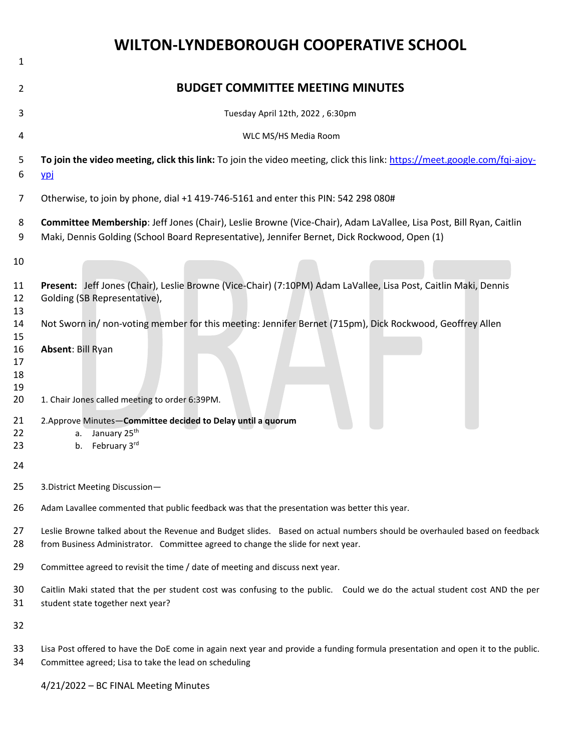|                                                                                        | WILTON-LYNDEBOROUGH COOPERATIVE SCHOOL                                                                                                                                                                                                                                                                                                                                                                                                                            |
|----------------------------------------------------------------------------------------|-------------------------------------------------------------------------------------------------------------------------------------------------------------------------------------------------------------------------------------------------------------------------------------------------------------------------------------------------------------------------------------------------------------------------------------------------------------------|
| 1                                                                                      |                                                                                                                                                                                                                                                                                                                                                                                                                                                                   |
| 2                                                                                      | <b>BUDGET COMMITTEE MEETING MINUTES</b>                                                                                                                                                                                                                                                                                                                                                                                                                           |
| 3                                                                                      | Tuesday April 12th, 2022, 6:30pm                                                                                                                                                                                                                                                                                                                                                                                                                                  |
| 4                                                                                      | WLC MS/HS Media Room                                                                                                                                                                                                                                                                                                                                                                                                                                              |
| 5<br>6                                                                                 | To join the video meeting, click this link: To join the video meeting, click this link: https://meet.google.com/fqi-ajoy-<br>ypi                                                                                                                                                                                                                                                                                                                                  |
| $\overline{7}$                                                                         | Otherwise, to join by phone, dial +1 419-746-5161 and enter this PIN: 542 298 080#                                                                                                                                                                                                                                                                                                                                                                                |
| 8<br>9                                                                                 | Committee Membership: Jeff Jones (Chair), Leslie Browne (Vice-Chair), Adam LaVallee, Lisa Post, Bill Ryan, Caitlin<br>Maki, Dennis Golding (School Board Representative), Jennifer Bernet, Dick Rockwood, Open (1)                                                                                                                                                                                                                                                |
| 10<br>11<br>12<br>13<br>14<br>15<br>16<br>17<br>18<br>19<br>20<br>21<br>22<br>23<br>24 | Present: Jeff Jones (Chair), Leslie Browne (Vice-Chair) (7:10PM) Adam LaVallee, Lisa Post, Caitlin Maki, Dennis<br>Golding (SB Representative),<br>Not Sworn in/ non-voting member for this meeting: Jennifer Bernet (715pm), Dick Rockwood, Geoffrey Allen<br><b>Absent: Bill Ryan</b><br>1. Chair Jones called meeting to order 6:39PM.<br>2. Approve Minutes-Committee decided to Delay until a quorum<br>January 25 <sup>th</sup><br>а.<br>February 3rd<br>b. |
| 25                                                                                     | 3. District Meeting Discussion-                                                                                                                                                                                                                                                                                                                                                                                                                                   |
| 26                                                                                     | Adam Lavallee commented that public feedback was that the presentation was better this year.                                                                                                                                                                                                                                                                                                                                                                      |
| 27<br>28                                                                               | Leslie Browne talked about the Revenue and Budget slides. Based on actual numbers should be overhauled based on feedback<br>from Business Administrator. Committee agreed to change the slide for next year.                                                                                                                                                                                                                                                      |
| 29                                                                                     | Committee agreed to revisit the time / date of meeting and discuss next year.                                                                                                                                                                                                                                                                                                                                                                                     |
| 30<br>31                                                                               | Caitlin Maki stated that the per student cost was confusing to the public. Could we do the actual student cost AND the per<br>student state together next year?                                                                                                                                                                                                                                                                                                   |
| 32                                                                                     |                                                                                                                                                                                                                                                                                                                                                                                                                                                                   |
| 33                                                                                     | Lisa Post offered to have the DoE come in again next year and provide a funding formula presentation and open it to the public.                                                                                                                                                                                                                                                                                                                                   |

Committee agreed; Lisa to take the lead on scheduling

4/21/2022 – BC FINAL Meeting Minutes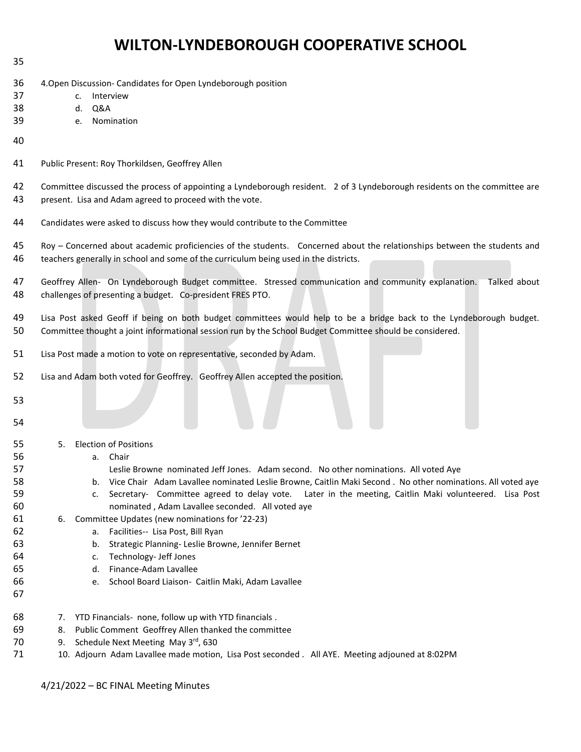## **WILTON-LYNDEBOROUGH COOPERATIVE SCHOOL**

- 
- 4.Open Discussion- Candidates for Open Lyndeborough position
- c. Interview
- d. Q&A
- e. Nomination
- 
- Public Present: Roy Thorkildsen, Geoffrey Allen

Committee discussed the process of appointing a Lyndeborough resident. 2 of 3 Lyndeborough residents on the committee are

- present. Lisa and Adam agreed to proceed with the vote.
- Candidates were asked to discuss how they would contribute to the Committee
- Roy Concerned about academic proficiencies of the students. Concerned about the relationships between the students and teachers generally in school and some of the curriculum being used in the districts.
- Geoffrey Allen- On Lyndeborough Budget committee. Stressed communication and community explanation. Talked about challenges of presenting a budget. Co-president FRES PTO.

 Lisa Post asked Geoff if being on both budget committees would help to be a bridge back to the Lyndeborough budget. Committee thought a joint informational session run by the School Budget Committee should be considered.

- Lisa Post made a motion to vote on representative, seconded by Adam.
- Lisa and Adam both voted for Geoffrey. Geoffrey Allen accepted the position.
- 
- 
- 5. Election of Positions
- a. Chair
- Leslie Browne nominated Jeff Jones. Adam second. No other nominations. All voted Aye
- b. Vice Chair Adam Lavallee nominated Leslie Browne, Caitlin Maki Second . No other nominations. All voted aye c. Secretary- Committee agreed to delay vote. Later in the meeting, Caitlin Maki volunteered. Lisa Post nominated , Adam Lavallee seconded. All voted aye
- 6. Committee Updates (new nominations for '22-23)
- a. Facilities-- Lisa Post, Bill Ryan
- b. Strategic Planning- Leslie Browne, Jennifer Bernet
- c. Technology- Jeff Jones
- d. Finance-Adam Lavallee
- e. School Board Liaison- Caitlin Maki, Adam Lavallee
- 
- 7. YTD Financials- none, follow up with YTD financials .
- 8. Public Comment Geoffrey Allen thanked the committee
- 70 9. Schedule Next Meeting May 3<sup>rd</sup>, 630
- 10. Adjourn Adam Lavallee made motion, Lisa Post seconded . All AYE. Meeting adjouned at 8:02PM

4/21/2022 – BC FINAL Meeting Minutes